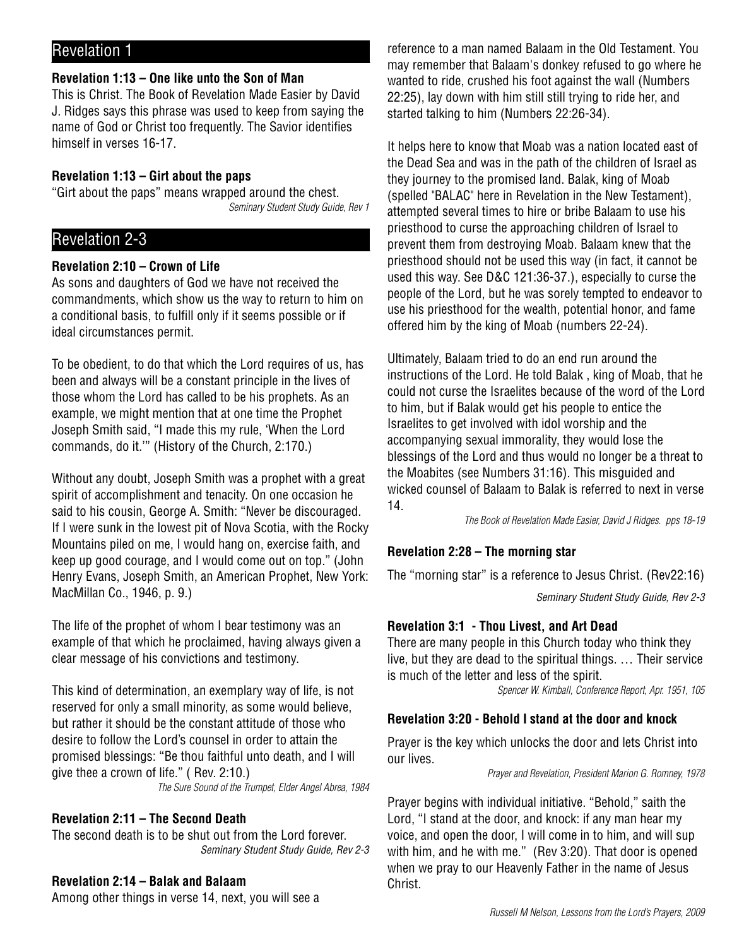# Revelation 1

## **Revelation 1:13 – One like unto the Son of Man**

This is Christ. The Book of Revelation Made Easier by David J. Ridges says this phrase was used to keep from saying the name of God or Christ too frequently. The Savior identifies himself in verses 16-17.

## **Revelation 1:13 – Girt about the paps**

"Girt about the paps" means wrapped around the chest. Seminary Student Study Guide, Rev 1

# Revelation 2-3

## **Revelation 2:10 – Crown of Life**

As sons and daughters of God we have not received the commandments, which show us the way to return to him on a conditional basis, to fulfill only if it seems possible or if ideal circumstances permit.

To be obedient, to do that which the Lord requires of us, has been and always will be a constant principle in the lives of those whom the Lord has called to be his prophets. As an example, we might mention that at one time the Prophet Joseph Smith said, "I made this my rule, 'When the Lord commands, do it.'" (History of the Church, 2:170.)

Without any doubt, Joseph Smith was a prophet with a great spirit of accomplishment and tenacity. On one occasion he said to his cousin, George A. Smith: "Never be discouraged. If I were sunk in the lowest pit of Nova Scotia, with the Rocky Mountains piled on me, I would hang on, exercise faith, and keep up good courage, and I would come out on top." (John Henry Evans, Joseph Smith, an American Prophet, New York: MacMillan Co., 1946, p. 9.)

The life of the prophet of whom I bear testimony was an example of that which he proclaimed, having always given a clear message of his convictions and testimony.

This kind of determination, an exemplary way of life, is not reserved for only a small minority, as some would believe, but rather it should be the constant attitude of those who desire to follow the Lord's counsel in order to attain the promised blessings: "Be thou faithful unto death, and I will give thee a crown of life." ( Rev. 2:10.) The Sure Sound of the Trumpet, Elder Angel Abrea, 1984

## **Revelation 2:11 – The Second Death**

The second death is to be shut out from the Lord forever. Seminary Student Study Guide, Rev 2-3

## **Revelation 2:14 – Balak and Balaam**

Among other things in verse 14, next, you will see a

reference to a man named Balaam in the Old Testament. You may remember that Balaam's donkey refused to go where he wanted to ride, crushed his foot against the wall (Numbers 22:25), lay down with him still still trying to ride her, and started talking to him (Numbers 22:26-34).

It helps here to know that Moab was a nation located east of the Dead Sea and was in the path of the children of Israel as they journey to the promised land. Balak, king of Moab (spelled "BALAC" here in Revelation in the New Testament), attempted several times to hire or bribe Balaam to use his priesthood to curse the approaching children of Israel to prevent them from destroying Moab. Balaam knew that the priesthood should not be used this way (in fact, it cannot be used this way. See D&C 121:36-37.), especially to curse the people of the Lord, but he was sorely tempted to endeavor to use his priesthood for the wealth, potential honor, and fame offered him by the king of Moab (numbers 22-24).

Ultimately, Balaam tried to do an end run around the instructions of the Lord. He told Balak , king of Moab, that he could not curse the Israelites because of the word of the Lord to him, but if Balak would get his people to entice the Israelites to get involved with idol worship and the accompanying sexual immorality, they would lose the blessings of the Lord and thus would no longer be a threat to the Moabites (see Numbers 31:16). This misguided and wicked counsel of Balaam to Balak is referred to next in verse 14.

The Book of Revelation Made Easier, David J Ridges. pps 18-19

## **Revelation 2:28 – The morning star**

The "morning star" is a reference to Jesus Christ. (Rev22:16)

Seminary Student Study Guide, Rev 2-3

## **Revelation 3:1 - Thou Livest, and Art Dead**

There are many people in this Church today who think they live, but they are dead to the spiritual things. … Their service is much of the letter and less of the spirit.

Spencer W. Kimball, Conference Report, Apr. 1951, 105

## **Revelation 3:20 - Behold I stand at the door and knock**

Prayer is the key which unlocks the door and lets Christ into our lives.

Prayer and Revelation, President Marion G. Romney, 1978

Prayer begins with individual initiative. "Behold," saith the Lord, "I stand at the door, and knock: if any man hear my voice, and open the door, I will come in to him, and will sup with him, and he with me." (Rev 3:20). That door is opened when we pray to our Heavenly Father in the name of Jesus Christ.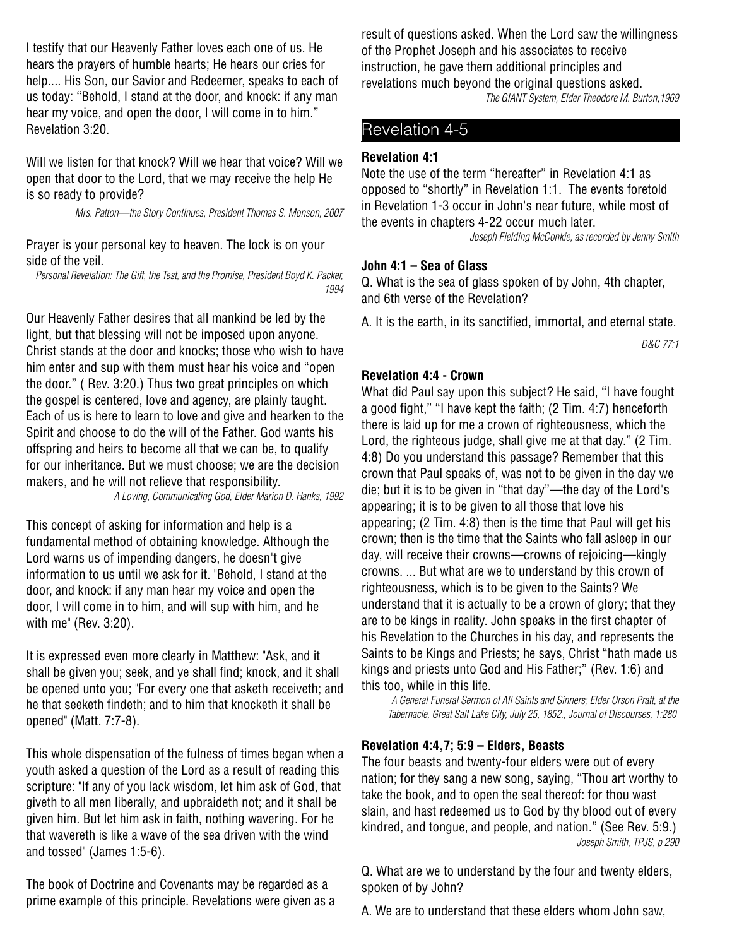I testify that our Heavenly Father loves each one of us. He hears the prayers of humble hearts; He hears our cries for help.... His Son, our Savior and Redeemer, speaks to each of us today: "Behold, I stand at the door, and knock: if any man hear my voice, and open the door, I will come in to him." Revelation 3:20.

Will we listen for that knock? Will we hear that voice? Will we open that door to the Lord, that we may receive the help He is so ready to provide?

Mrs. Patton—the Story Continues, President Thomas S. Monson, 2007

Prayer is your personal key to heaven. The lock is on your side of the veil.

Personal Revelation: The Gift, the Test, and the Promise, President Boyd K. Packer, 1994

Our Heavenly Father desires that all mankind be led by the light, but that blessing will not be imposed upon anyone. Christ stands at the door and knocks; those who wish to have him enter and sup with them must hear his voice and "open the door." ( Rev. 3:20.) Thus two great principles on which the gospel is centered, love and agency, are plainly taught. Each of us is here to learn to love and give and hearken to the Spirit and choose to do the will of the Father. God wants his offspring and heirs to become all that we can be, to qualify for our inheritance. But we must choose; we are the decision makers, and he will not relieve that responsibility.

A Loving, Communicating God, Elder Marion D. Hanks, 1992

This concept of asking for information and help is a fundamental method of obtaining knowledge. Although the Lord warns us of impending dangers, he doesn't give information to us until we ask for it. "Behold, I stand at the door, and knock: if any man hear my voice and open the door, I will come in to him, and will sup with him, and he with me" (Rev. 3:20).

It is expressed even more clearly in Matthew: "Ask, and it shall be given you; seek, and ye shall find; knock, and it shall be opened unto you; "For every one that asketh receiveth; and he that seeketh findeth; and to him that knocketh it shall be opened" (Matt. 7:7-8).

This whole dispensation of the fulness of times began when a youth asked a question of the Lord as a result of reading this scripture: "If any of you lack wisdom, let him ask of God, that giveth to all men liberally, and upbraideth not; and it shall be given him. But let him ask in faith, nothing wavering. For he that wavereth is like a wave of the sea driven with the wind and tossed" (James 1:5-6).

The book of Doctrine and Covenants may be regarded as a prime example of this principle. Revelations were given as a result of questions asked. When the Lord saw the willingness of the Prophet Joseph and his associates to receive instruction, he gave them additional principles and revelations much beyond the original questions asked. The GIANT System, Elder Theodore M. Burton,1969

## Revelation 4-5

#### **Revelation 4:1**

Note the use of the term "hereafter" in Revelation 4:1 as opposed to "shortly" in Revelation 1:1. The events foretold in Revelation 1-3 occur in John's near future, while most of the events in chapters 4-22 occur much later.

Joseph Fielding McConkie, as recorded by Jenny Smith

#### **John 4:1 – Sea of Glass**

Q. What is the sea of glass spoken of by John, 4th chapter, and 6th verse of the Revelation?

A. It is the earth, in its sanctified, immortal, and eternal state.

D&C 77:1

#### **Revelation 4:4 - Crown**

What did Paul say upon this subject? He said, "I have fought a good fight," "I have kept the faith; (2 Tim. 4:7) henceforth there is laid up for me a crown of righteousness, which the Lord, the righteous judge, shall give me at that day." (2 Tim. 4:8) Do you understand this passage? Remember that this crown that Paul speaks of, was not to be given in the day we die; but it is to be given in "that day"—the day of the Lord's appearing; it is to be given to all those that love his appearing; (2 Tim. 4:8) then is the time that Paul will get his crown; then is the time that the Saints who fall asleep in our day, will receive their crowns—crowns of rejoicing—kingly crowns. ... But what are we to understand by this crown of righteousness, which is to be given to the Saints? We understand that it is actually to be a crown of glory; that they are to be kings in reality. John speaks in the first chapter of his Revelation to the Churches in his day, and represents the Saints to be Kings and Priests; he says, Christ "hath made us kings and priests unto God and His Father;" (Rev. 1:6) and this too, while in this life.

A General Funeral Sermon of All Saints and Sinners; Elder Orson Pratt, at the Tabernacle, Great Salt Lake City, July 25, 1852., Journal of Discourses, 1:280

#### **Revelation 4:4,7; 5:9 – Elders, Beasts**

The four beasts and twenty-four elders were out of every nation; for they sang a new song, saying, "Thou art worthy to take the book, and to open the seal thereof: for thou wast slain, and hast redeemed us to God by thy blood out of every kindred, and tongue, and people, and nation." (See Rev. 5:9.) Joseph Smith, TPJS, p 290

Q. What are we to understand by the four and twenty elders, spoken of by John?

A. We are to understand that these elders whom John saw,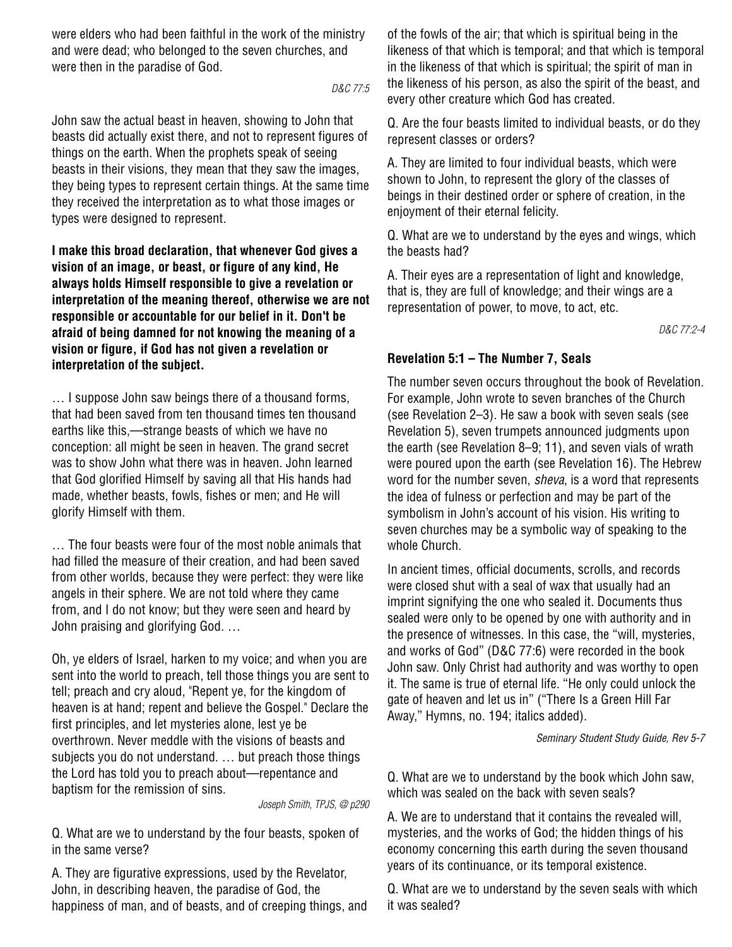were elders who had been faithful in the work of the ministry and were dead; who belonged to the seven churches, and were then in the paradise of God.

D&C 77:5

John saw the actual beast in heaven, showing to John that beasts did actually exist there, and not to represent figures of things on the earth. When the prophets speak of seeing beasts in their visions, they mean that they saw the images, they being types to represent certain things. At the same time they received the interpretation as to what those images or types were designed to represent.

**I make this broad declaration, that whenever God gives a vision of an image, or beast, or figure of any kind, He always holds Himself responsible to give a revelation or interpretation of the meaning thereof, otherwise we are not responsible or accountable for our belief in it. Don't be afraid of being damned for not knowing the meaning of a vision or figure, if God has not given a revelation or interpretation of the subject.**

… I suppose John saw beings there of a thousand forms, that had been saved from ten thousand times ten thousand earths like this,—strange beasts of which we have no conception: all might be seen in heaven. The grand secret was to show John what there was in heaven. John learned that God glorified Himself by saving all that His hands had made, whether beasts, fowls, fishes or men; and He will glorify Himself with them.

… The four beasts were four of the most noble animals that had filled the measure of their creation, and had been saved from other worlds, because they were perfect: they were like angels in their sphere. We are not told where they came from, and I do not know; but they were seen and heard by John praising and glorifying God. …

Oh, ye elders of Israel, harken to my voice; and when you are sent into the world to preach, tell those things you are sent to tell; preach and cry aloud, "Repent ye, for the kingdom of heaven is at hand; repent and believe the Gospel." Declare the first principles, and let mysteries alone, lest ye be overthrown. Never meddle with the visions of beasts and subjects you do not understand. … but preach those things the Lord has told you to preach about—repentance and baptism for the remission of sins.

Joseph Smith, TPJS, @ p290

Q. What are we to understand by the four beasts, spoken of in the same verse?

A. They are figurative expressions, used by the Revelator, John, in describing heaven, the paradise of God, the happiness of man, and of beasts, and of creeping things, and of the fowls of the air; that which is spiritual being in the likeness of that which is temporal; and that which is temporal in the likeness of that which is spiritual; the spirit of man in the likeness of his person, as also the spirit of the beast, and every other creature which God has created.

Q. Are the four beasts limited to individual beasts, or do they represent classes or orders?

A. They are limited to four individual beasts, which were shown to John, to represent the glory of the classes of beings in their destined order or sphere of creation, in the enjoyment of their eternal felicity.

Q. What are we to understand by the eyes and wings, which the beasts had?

A. Their eyes are a representation of light and knowledge, that is, they are full of knowledge; and their wings are a representation of power, to move, to act, etc.

D&C 77:2-4

## **Revelation 5:1 – The Number 7, Seals**

The number seven occurs throughout the book of Revelation. For example, John wrote to seven branches of the Church (see Revelation 2–3). He saw a book with seven seals (see Revelation 5), seven trumpets announced judgments upon the earth (see Revelation 8–9; 11), and seven vials of wrath were poured upon the earth (see Revelation 16). The Hebrew word for the number seven, *sheva*, is a word that represents the idea of fulness or perfection and may be part of the symbolism in John's account of his vision. His writing to seven churches may be a symbolic way of speaking to the whole Church.

In ancient times, official documents, scrolls, and records were closed shut with a seal of wax that usually had an imprint signifying the one who sealed it. Documents thus sealed were only to be opened by one with authority and in the presence of witnesses. In this case, the "will, mysteries, and works of God" (D&C 77:6) were recorded in the book John saw. Only Christ had authority and was worthy to open it. The same is true of eternal life. "He only could unlock the gate of heaven and let us in" ("There Is a Green Hill Far Away," Hymns, no. 194; italics added).

Seminary Student Study Guide, Rev 5-7

Q. What are we to understand by the book which John saw, which was sealed on the back with seven seals?

A. We are to understand that it contains the revealed will, mysteries, and the works of God; the hidden things of his economy concerning this earth during the seven thousand years of its continuance, or its temporal existence.

Q. What are we to understand by the seven seals with which it was sealed?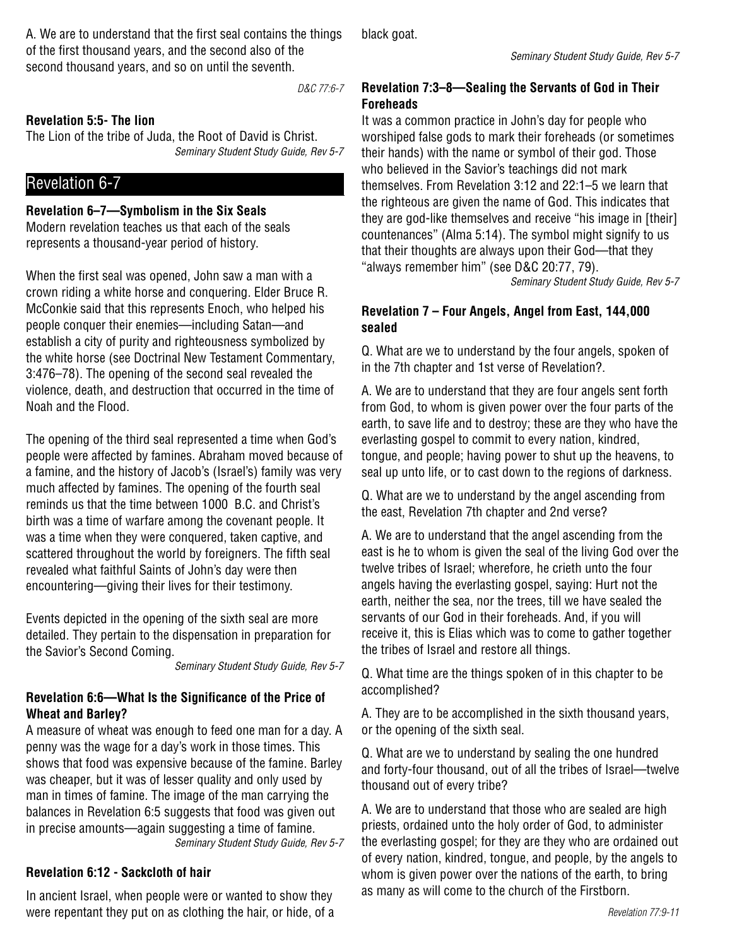A. We are to understand that the first seal contains the things of the first thousand years, and the second also of the second thousand years, and so on until the seventh.

D&C 77:6-7

## **Revelation 5:5- The lion**

The Lion of the tribe of Juda, the Root of David is Christ. Seminary Student Study Guide, Rev 5-7

# Revelation 6-7

## **Revelation 6–7—Symbolism in the Six Seals**

Modern revelation teaches us that each of the seals represents a thousand-year period of history.

When the first seal was opened, John saw a man with a crown riding a white horse and conquering. Elder Bruce R. McConkie said that this represents Enoch, who helped his people conquer their enemies—including Satan—and establish a city of purity and righteousness symbolized by the white horse (see Doctrinal New Testament Commentary, 3:476–78). The opening of the second seal revealed the violence, death, and destruction that occurred in the time of Noah and the Flood.

The opening of the third seal represented a time when God's people were affected by famines. Abraham moved because of a famine, and the history of Jacob's (Israel's) family was very much affected by famines. The opening of the fourth seal reminds us that the time between 1000 B.C. and Christ's birth was a time of warfare among the covenant people. It was a time when they were conquered, taken captive, and scattered throughout the world by foreigners. The fifth seal revealed what faithful Saints of John's day were then encountering—giving their lives for their testimony.

Events depicted in the opening of the sixth seal are more detailed. They pertain to the dispensation in preparation for the Savior's Second Coming.

Seminary Student Study Guide, Rev 5-7

## **Revelation 6:6—What Is the Significance of the Price of Wheat and Barley?**

A measure of wheat was enough to feed one man for a day. A penny was the wage for a day's work in those times. This shows that food was expensive because of the famine. Barley was cheaper, but it was of lesser quality and only used by man in times of famine. The image of the man carrying the balances in Revelation 6:5 suggests that food was given out in precise amounts—again suggesting a time of famine. Seminary Student Study Guide, Rev 5-7

# **Revelation 6:12 - Sackcloth of hair**

In ancient Israel, when people were or wanted to show they were repentant they put on as clothing the hair, or hide, of a black goat.

## **Revelation 7:3–8—Sealing the Servants of God in Their Foreheads**

It was a common practice in John's day for people who worshiped false gods to mark their foreheads (or sometimes their hands) with the name or symbol of their god. Those who believed in the Savior's teachings did not mark themselves. From Revelation 3:12 and 22:1–5 we learn that the righteous are given the name of God. This indicates that they are god-like themselves and receive "his image in [their] countenances" (Alma 5:14). The symbol might signify to us that their thoughts are always upon their God—that they "always remember him" (see D&C 20:77, 79).

Seminary Student Study Guide, Rev 5-7

## **Revelation 7 – Four Angels, Angel from East, 144,000 sealed**

Q. What are we to understand by the four angels, spoken of in the 7th chapter and 1st verse of Revelation?.

A. We are to understand that they are four angels sent forth from God, to whom is given power over the four parts of the earth, to save life and to destroy; these are they who have the everlasting gospel to commit to every nation, kindred, tongue, and people; having power to shut up the heavens, to seal up unto life, or to cast down to the regions of darkness.

Q. What are we to understand by the angel ascending from the east, Revelation 7th chapter and 2nd verse?

A. We are to understand that the angel ascending from the east is he to whom is given the seal of the living God over the twelve tribes of Israel; wherefore, he crieth unto the four angels having the everlasting gospel, saying: Hurt not the earth, neither the sea, nor the trees, till we have sealed the servants of our God in their foreheads. And, if you will receive it, this is Elias which was to come to gather together the tribes of Israel and restore all things.

Q. What time are the things spoken of in this chapter to be accomplished?

A. They are to be accomplished in the sixth thousand years, or the opening of the sixth seal.

Q. What are we to understand by sealing the one hundred and forty-four thousand, out of all the tribes of Israel—twelve thousand out of every tribe?

A. We are to understand that those who are sealed are high priests, ordained unto the holy order of God, to administer the everlasting gospel; for they are they who are ordained out of every nation, kindred, tongue, and people, by the angels to whom is given power over the nations of the earth, to bring as many as will come to the church of the Firstborn.